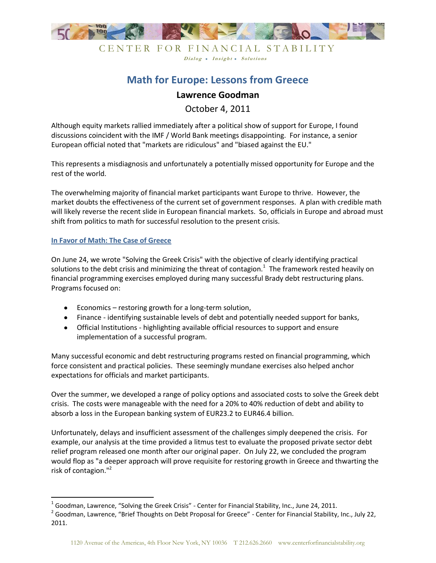

### CENTER FOR FINANCIAL STABILITY Dialog . Insight . Solutions

# **Math for Europe: Lessons from Greece**

## **Lawrence Goodman**

October 4, 2011

Although equity markets rallied immediately after a political show of support for Europe, I found discussions coincident with the IMF / World Bank meetings disappointing. For instance, a senior European official noted that "markets are ridiculous" and "biased against the EU."

This represents a misdiagnosis and unfortunately a potentially missed opportunity for Europe and the rest of the world.

The overwhelming majority of financial market participants want Europe to thrive. However, the market doubts the effectiveness of the current set of government responses. A plan with credible math will likely reverse the recent slide in European financial markets. So, officials in Europe and abroad must shift from politics to math for successful resolution to the present crisis.

### **In Favor of Math: The Case of Greece**

l

On June 24, we wrote "Solving the Greek Crisis" with the objective of clearly identifying practical solutions to the debt crisis and minimizing the threat of contagion. $^1$  The framework rested heavily on financial programming exercises employed during many successful Brady debt restructuring plans. Programs focused on:

- Economics restoring growth for a long-term solution,
- Finance identifying sustainable levels of debt and potentially needed support for banks,
- Official Institutions highlighting available official resources to support and ensure implementation of a successful program.

Many successful economic and debt restructuring programs rested on financial programming, which force consistent and practical policies. These seemingly mundane exercises also helped anchor expectations for officials and market participants.

Over the summer, we developed a range of policy options and associated costs to solve the Greek debt crisis. The costs were manageable with the need for a 20% to 40% reduction of debt and ability to absorb a loss in the European banking system of EUR23.2 to EUR46.4 billion.

Unfortunately, delays and insufficient assessment of the challenges simply deepened the crisis. For example, our analysis at the time provided a litmus test to evaluate the proposed private sector debt relief program released one month after our original paper. On July 22, we concluded the program would flop as "a deeper approach will prove requisite for restoring growth in Greece and thwarting the risk of contagion."<sup>2</sup>

 $^1$  Goodman, Lawrence, "Solving the Greek Crisis" - Center for Financial Stability, Inc., June 24, 2011.

<sup>&</sup>lt;sup>2</sup> Goodman, Lawrence, "Brief Thoughts on Debt Proposal for Greece" - Center for Financial Stability, Inc., July 22, 2011.